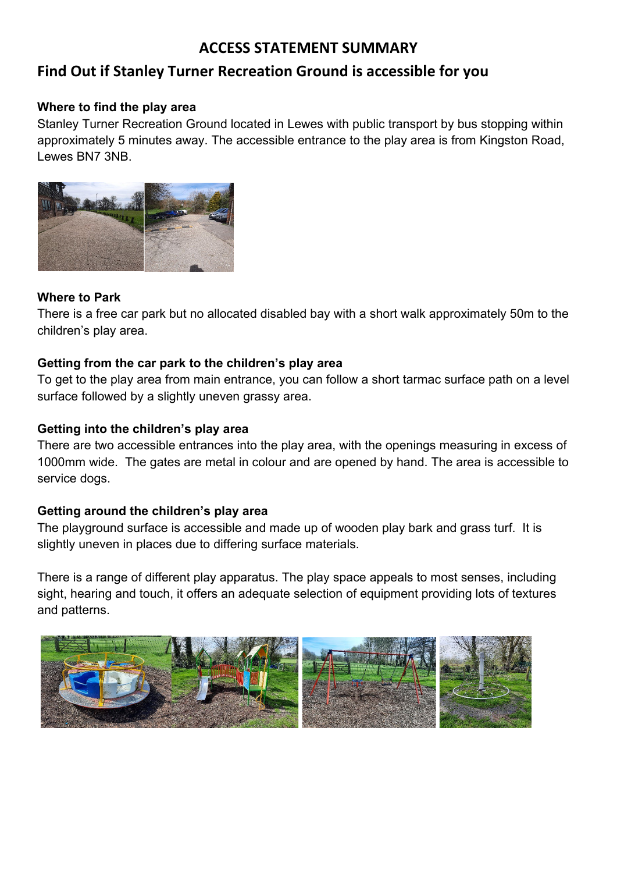# **ACCESS STATEMENT SUMMARY**

# **Find Out if Stanley Turner Recreation Ground is accessible for you**

#### **Where to find the play area**

Stanley Turner Recreation Ground located in Lewes with public transport by bus stopping within approximately 5 minutes away. The accessible entrance to the play area is from Kingston Road, Lewes BN7 3NB.



#### **Where to Park**

There is a free car park but no allocated disabled bay with a short walk approximately 50m to the children's play area.

#### **Getting from the car park to the children's play area**

To get to the play area from main entrance, you can follow a short tarmac surface path on a level surface followed by a slightly uneven grassy area.

#### **Getting into the children's play area**

There are two accessible entrances into the play area, with the openings measuring in excess of 1000mm wide. The gates are metal in colour and are opened by hand. The area is accessible to service dogs.

#### **Getting around the children's play area**

The playground surface is accessible and made up of wooden play bark and grass turf. It is slightly uneven in places due to differing surface materials.

There is a range of different play apparatus. The play space appeals to most senses, including sight, hearing and touch, it offers an adequate selection of equipment providing lots of textures and patterns.